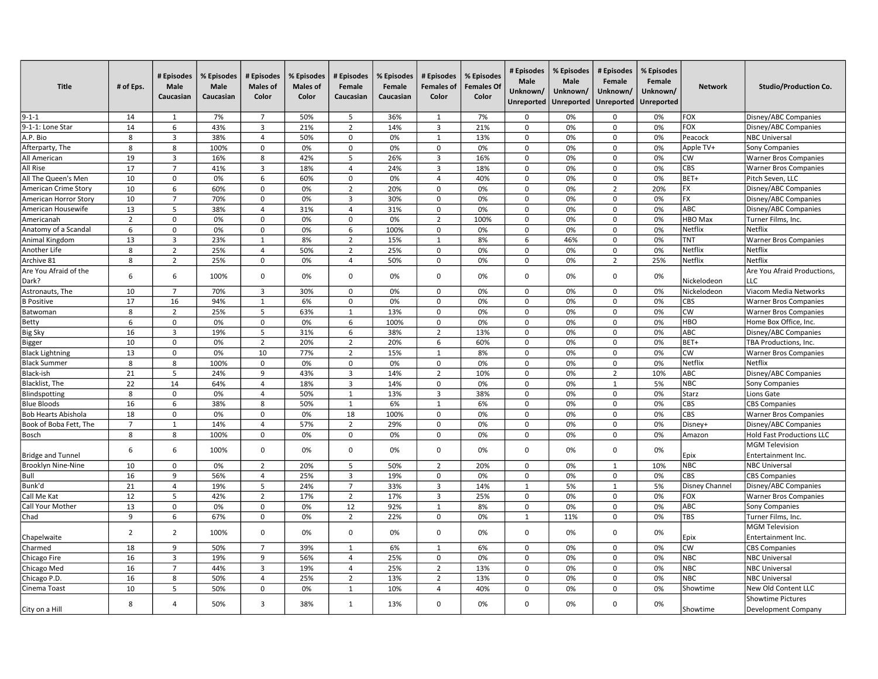| <b>Title</b>                   | # of Eps.      | # Episodes<br>Male<br>Caucasian | % Episodes<br><b>Male</b><br>Caucasian | # Episodes<br><b>Males of</b><br>Color | % Episodes<br><b>Males of</b><br>Color | # Episodes<br>Female<br>Caucasian | % Episodes<br>Female<br>Caucasian | # Episodes<br><b>Females of</b><br>Color | % Episodes<br><b>Females Of</b><br>Color | # Episodes<br>Male<br>Unknown/ | % Episodes<br>Male<br>Unknown/<br>Unreported   Unreported | # Episodes<br>Female<br>Unknown/<br>Unreported | % Episodes<br>Female<br>Unknown/<br><b>Unreported</b> | <b>Network</b>        | <b>Studio/Production Co.</b>                |
|--------------------------------|----------------|---------------------------------|----------------------------------------|----------------------------------------|----------------------------------------|-----------------------------------|-----------------------------------|------------------------------------------|------------------------------------------|--------------------------------|-----------------------------------------------------------|------------------------------------------------|-------------------------------------------------------|-----------------------|---------------------------------------------|
| $9 - 1 - 1$                    | 14             | 1                               | 7%                                     | $\overline{7}$                         | 50%                                    | 5                                 | 36%                               | 1                                        | 7%                                       | 0                              | 0%                                                        | 0                                              | 0%                                                    | FOX                   | Disney/ABC Companies                        |
| 9-1-1: Lone Star               | 14             | 6                               | 43%                                    | 3                                      | 21%                                    | $\overline{2}$                    | 14%                               | 3                                        | 21%                                      | 0                              | 0%                                                        | $\mathbf 0$                                    | 0%                                                    | FOX                   | Disney/ABC Companies                        |
| A.P. Bio                       | 8              | $\overline{3}$                  | 38%                                    | $\overline{4}$                         | 50%                                    | $\mathsf 0$                       | 0%                                | $\mathbf{1}$                             | 13%                                      | $\Omega$                       | 0%                                                        | $\mathbf 0$                                    | 0%                                                    | Peacock               | <b>NBC Universal</b>                        |
| Afterparty, The                | 8              | 8                               | 100%                                   | $\mathsf 0$                            | 0%                                     | 0                                 | 0%                                | 0                                        | 0%                                       | 0                              | 0%                                                        | $\mathbf 0$                                    | 0%                                                    | Apple TV+             | Sony Companies                              |
| All American                   | 19             | $\overline{3}$                  | 16%                                    | 8                                      | 42%                                    | 5                                 | 26%                               | 3                                        | 16%                                      | 0                              | 0%                                                        | $\mathsf 0$                                    | 0%                                                    | <b>CW</b>             | <b>Warner Bros Companies</b>                |
| <b>All Rise</b>                | 17             | $\overline{7}$                  | 41%                                    | 3                                      | 18%                                    | $\overline{4}$                    | 24%                               | 3                                        | 18%                                      | 0                              | 0%                                                        | $\Omega$                                       | 0%                                                    | CBS                   | <b>Warner Bros Companies</b>                |
| All The Queen's Men            | 10             | $\mathbf 0$                     | 0%                                     | 6                                      | 60%                                    | $\mathsf 0$                       | 0%                                | $\overline{4}$                           | 40%                                      | 0                              | 0%                                                        | $\mathbf 0$                                    | 0%                                                    | BET+                  | Pitch Seven, LLC                            |
| American Crime Story           | 10             | 6                               | 60%                                    | $\mathbf 0$                            | 0%                                     | $\overline{2}$                    | 20%                               | $\mathbf 0$                              | 0%                                       | $\mathbf 0$                    | 0%                                                        | $\overline{2}$                                 | 20%                                                   | FX                    | Disney/ABC Companies                        |
| American Horror Story          | 10             | $\overline{7}$                  | 70%                                    | 0                                      | 0%                                     | 3                                 | 30%                               | 0                                        | 0%                                       | 0                              | 0%                                                        | $\mathbf 0$                                    | 0%                                                    | FX                    | Disney/ABC Companies                        |
| American Housewife             | 13             | 5                               | 38%                                    | 4                                      | 31%                                    | $\overline{4}$                    | 31%                               | 0                                        | 0%                                       | 0                              | 0%                                                        | $\mathbf 0$                                    | 0%                                                    | ABC                   | Disney/ABC Companies                        |
| Americanah                     | $\overline{2}$ | $\mathbf 0$                     | 0%                                     | $\mathbf 0$                            | 0%                                     | $\mathbf 0$                       | 0%                                | $\overline{2}$                           | 100%                                     | $\Omega$                       | 0%                                                        | $\Omega$                                       | 0%                                                    | HBO Max               | Turner Films, Inc.                          |
| Anatomy of a Scandal           | 6              | $\mathbf 0$                     | 0%                                     | $\mathsf 0$                            | 0%                                     | 6                                 | 100%                              | 0                                        | 0%                                       | 0                              | 0%                                                        | $\mathsf 0$                                    | 0%                                                    | Netflix               | Netflix                                     |
| Animal Kingdom                 | 13             | $\overline{3}$                  | 23%                                    | 1                                      | 8%                                     | $\overline{2}$                    | 15%                               | 1                                        | 8%                                       | 6                              | 46%                                                       | $\mathbf 0$                                    | 0%                                                    | TNT                   | <b>Warner Bros Companies</b>                |
| Another Life                   | 8              | $\overline{2}$                  | 25%                                    | $\overline{4}$                         | 50%                                    | $\overline{2}$                    | 25%                               | 0                                        | 0%                                       | 0                              | 0%                                                        | $\mathbf 0$                                    | 0%                                                    | Netflix               | Netflix                                     |
| Archive 81                     | 8              | $\overline{2}$                  | 25%                                    | 0                                      | 0%                                     | 4                                 | 50%                               | 0                                        | 0%                                       | $\Omega$                       | 0%                                                        | $\overline{2}$                                 | 25%                                                   | Netflix               | Netflix                                     |
| Are You Afraid of the<br>Dark? | 6              | 6                               | 100%                                   | $\mathbf 0$                            | 0%                                     | $\mathbf 0$                       | 0%                                | $\mathbf 0$                              | 0%                                       | $\Omega$                       | 0%                                                        | $\Omega$                                       | 0%                                                    | Nickelodeon           | Are You Afraid Productions,<br><b>LLC</b>   |
| Astronauts, The                | 10             | $\overline{7}$                  | 70%                                    | $\overline{3}$                         | 30%                                    | $\mathbf 0$                       | 0%                                | $\mathsf{O}\xspace$                      | 0%                                       | $\mathbf 0$                    | 0%                                                        | $\mathbf 0$                                    | 0%                                                    | Nickelodeon           | Viacom Media Networks                       |
| <b>B</b> Positive              | 17             | 16                              | 94%                                    | $\mathbf{1}$                           | 6%                                     | $\Omega$                          | 0%                                | 0                                        | 0%                                       | $\Omega$                       | 0%                                                        | $\Omega$                                       | 0%                                                    | CBS                   | <b>Warner Bros Companies</b>                |
| Batwoman                       | 8              | $\overline{2}$                  | 25%                                    | 5                                      | 63%                                    | $\mathbf{1}$                      | 13%                               | $\mathbf 0$                              | 0%                                       | $\mathbf 0$                    | 0%                                                        | $\mathbf 0$                                    | 0%                                                    | <b>cw</b>             | <b>Warner Bros Companies</b>                |
| Betty                          | 6              | $\mathbf 0$                     | 0%                                     | 0                                      | 0%                                     | 6                                 | 100%                              | 0                                        | 0%                                       | $\mathbf 0$                    | 0%                                                        | $\mathbf 0$                                    | 0%                                                    | <b>HBO</b>            | Home Box Office, Inc.                       |
| <b>Big Sky</b>                 | 16             | $\overline{3}$                  | 19%                                    | 5                                      | 31%                                    | 6                                 | 38%                               | $\overline{2}$                           | 13%                                      | 0                              | 0%                                                        | $\mathbf 0$                                    | 0%                                                    | ABC                   | Disney/ABC Companies                        |
| Bigger                         | 10             | $\mathbf 0$                     | 0%                                     | $\overline{2}$                         | 20%                                    | $\overline{2}$                    | 20%                               | 6                                        | 60%                                      | 0                              | 0%                                                        | $\mathbf 0$                                    | 0%                                                    | BET+                  | TBA Productions, Inc.                       |
| <b>Black Lightning</b>         | 13             | $\mathbf 0$                     | 0%                                     | 10                                     | 77%                                    | $\overline{2}$                    | 15%                               | $\mathbf{1}$                             | 8%                                       | $\Omega$                       | 0%                                                        | $\mathbf 0$                                    | 0%                                                    | <b>cw</b>             | <b>Warner Bros Companies</b>                |
| <b>Black Summer</b>            | 8              | 8                               | 100%                                   | $\mathsf 0$                            | 0%                                     | $\mathbf 0$                       | 0%                                | 0                                        | 0%                                       | 0                              | 0%                                                        | $\mathsf 0$                                    | 0%                                                    | Netflix               | Netflix                                     |
| Black-ish                      | 21             | 5                               | 24%                                    | 9                                      | 43%                                    | $\overline{3}$                    | 14%                               | $\overline{2}$                           | 10%                                      | 0                              | 0%                                                        | $\overline{2}$                                 | 10%                                                   | <b>ABC</b>            | Disney/ABC Companies                        |
| Blacklist, The                 | 22             | 14                              | 64%                                    | $\overline{4}$                         | 18%                                    | 3                                 | 14%                               | 0                                        | 0%                                       | 0                              | 0%                                                        | $\mathbf{1}$                                   | 5%                                                    | <b>NBC</b>            | <b>Sony Companies</b>                       |
| Blindspotting                  | 8              | $\mathbf 0$                     | 0%                                     | $\overline{4}$                         | 50%                                    | $\mathbf{1}$                      | 13%                               | $\overline{3}$                           | 38%                                      | $\Omega$                       | 0%                                                        | $\Omega$                                       | 0%                                                    | Starz                 | Lions Gate                                  |
| <b>Blue Bloods</b>             | 16             | 6                               | 38%                                    | 8                                      | 50%                                    | $\mathbf{1}$                      | 6%                                | $\mathbf{1}$                             | 6%                                       | 0                              | 0%                                                        | $\mathbf 0$                                    | 0%                                                    | <b>CBS</b>            | <b>CBS Companies</b>                        |
| <b>Bob Hearts Abishola</b>     | 18             | $\mathbf 0$                     | 0%                                     | 0                                      | 0%                                     | 18                                | 100%                              | 0                                        | 0%                                       | 0                              | 0%                                                        | $\mathsf 0$                                    | 0%                                                    | CBS                   | <b>Warner Bros Companies</b>                |
| Book of Boba Fett, The         | $\overline{7}$ | $\mathbf{1}$                    | 14%                                    | 4                                      | 57%                                    | $\overline{2}$                    | 29%                               | 0                                        | 0%                                       | 0                              | 0%                                                        | $\mathbf 0$                                    | 0%                                                    | Disney+               | Disney/ABC Companies                        |
| Bosch                          | 8              | 8                               | 100%                                   | $\mathsf 0$                            | 0%                                     | $\mathsf 0$                       | 0%                                | 0                                        | 0%                                       | $\Omega$                       | 0%                                                        | $\mathbf 0$                                    | 0%                                                    | Amazon                | <b>Hold Fast Productions LLC</b>            |
| <b>Bridge and Tunnel</b>       | 6              | 6                               | 100%                                   | $\mathsf 0$                            | 0%                                     | $\mathbf 0$                       | 0%                                | 0                                        | 0%                                       | 0                              | 0%                                                        | $\Omega$                                       | 0%                                                    | Epix                  | <b>MGM Television</b><br>Entertainment Inc. |
| Brooklyn Nine-Nine             | 10             | $\mathbf 0$                     | 0%                                     | $\overline{2}$                         | 20%                                    | 5                                 | 50%                               | $\overline{2}$                           | 20%                                      | 0                              | 0%                                                        | $\overline{1}$                                 | 10%                                                   | NBC                   | <b>NBC Universal</b>                        |
| Bull                           | 16             | 9                               | 56%                                    | $\overline{4}$                         | 25%                                    | 3                                 | 19%                               | $\mathbf 0$                              | 0%                                       | 0                              | 0%                                                        | $\mathbf 0$                                    | 0%                                                    | CBS                   | <b>CBS Companies</b>                        |
| Bunk'd                         | 21             | $\overline{4}$                  | 19%                                    | 5                                      | 24%                                    | $\overline{7}$                    | 33%                               | 3                                        | 14%                                      | $\mathbf{1}$                   | 5%                                                        | $\mathbf{1}$                                   | 5%                                                    | <b>Disney Channel</b> | Disney/ABC Companies                        |
| Call Me Kat                    | 12             | 5                               | 42%                                    | $\overline{2}$                         | 17%                                    | $\overline{2}$                    | 17%                               | 3                                        | 25%                                      | $\mathbf 0$                    | 0%                                                        | $\mathbf 0$                                    | 0%                                                    | <b>FOX</b>            | <b>Warner Bros Companies</b>                |
| Call Your Mother               | 13             | $\mathbf 0$                     | 0%                                     | $\mathsf 0$                            | 0%                                     | 12                                | 92%                               | $\mathbf{1}$                             | 8%                                       | $\mathsf 0$                    | 0%                                                        | $\mathsf 0$                                    | 0%                                                    | ABC                   | <b>Sony Companies</b>                       |
| Chad                           | 9              | 6                               | 67%                                    | $\mathbf 0$                            | 0%                                     | $\overline{2}$                    | 22%                               | $\mathbf 0$                              | 0%                                       | $\mathbf{1}$                   | 11%                                                       | $\Omega$                                       | 0%                                                    | <b>TBS</b>            | Turner Films, Inc.                          |
| Chapelwaite                    | $\overline{2}$ | $\overline{2}$                  | 100%                                   | $\mathbf 0$                            | 0%                                     | $\mathbf 0$                       | 0%                                | $\mathbf 0$                              | 0%                                       | 0                              | 0%                                                        | $\Omega$                                       | 0%                                                    | Epix                  | <b>MGM Television</b><br>Entertainment Inc. |
| Charmed                        | 18             | 9                               | 50%                                    | $\overline{7}$                         | 39%                                    | 1                                 | 6%                                | 1                                        | 6%                                       | 0                              | 0%                                                        | $\mathbf 0$                                    | 0%                                                    | <b>cw</b>             | <b>CBS Companies</b>                        |
| Chicago Fire                   | 16             | $\overline{3}$                  | 19%                                    | 9                                      | 56%                                    | $\overline{4}$                    | 25%                               | 0                                        | 0%                                       | 0                              | 0%                                                        | $\Omega$                                       | 0%                                                    | <b>NBC</b>            | <b>NBC Universal</b>                        |
| Chicago Med                    | 16             | $\overline{7}$                  | 44%                                    | 3                                      | 19%                                    | $\overline{4}$                    | 25%                               | $\overline{2}$                           | 13%                                      | $\Omega$                       | 0%                                                        | $\mathbf 0$                                    | 0%                                                    | NBC                   | <b>NBC Universal</b>                        |
| Chicago P.D.                   | 16             | 8                               | 50%                                    | $\overline{4}$                         | 25%                                    | $\overline{2}$                    | 13%                               | $\overline{2}$                           | 13%                                      | 0                              | 0%                                                        | $\mathsf 0$                                    | 0%                                                    | <b>NBC</b>            | <b>NBC Universal</b>                        |
| Cinema Toast                   | 10             | 5                               | 50%                                    | $\mathbf 0$                            | 0%                                     | 1                                 | 10%                               | 4                                        | 40%                                      | 0                              | 0%                                                        | $\mathbf 0$                                    | 0%                                                    | Showtime              | New Old Content LLC                         |
|                                |                |                                 |                                        |                                        |                                        |                                   |                                   |                                          |                                          |                                |                                                           |                                                |                                                       |                       | Showtime Pictures                           |
| City on a Hill                 | 8              | $\overline{4}$                  | 50%                                    | 3                                      | 38%                                    | 1                                 | 13%                               | $\mathbf 0$                              | 0%                                       | $\Omega$                       | 0%                                                        | $\Omega$                                       | 0%                                                    | Showtime              | Development Company                         |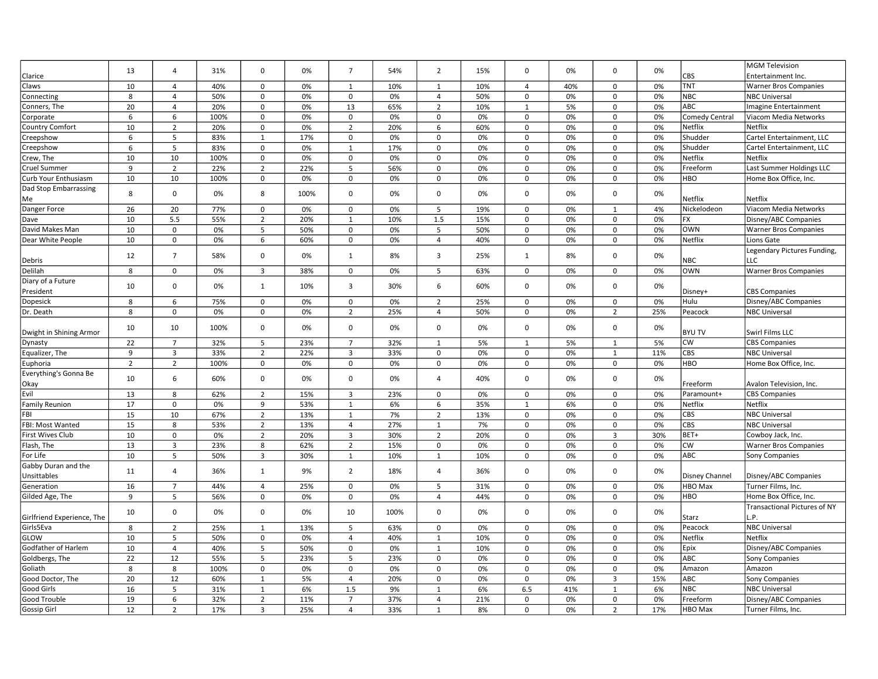|                                |                |                  |           |                     |      |                     |      |                               |     |                         |          |                               |           |                       | <b>MGM Television</b>               |
|--------------------------------|----------------|------------------|-----------|---------------------|------|---------------------|------|-------------------------------|-----|-------------------------|----------|-------------------------------|-----------|-----------------------|-------------------------------------|
| Clarice                        | 13             | $\overline{4}$   | 31%       | $\mathbf 0$         | 0%   | $\overline{7}$      | 54%  | $\overline{2}$                | 15% | 0                       | 0%       | 0                             | 0%        | CBS                   | Entertainment Inc.                  |
| Claws                          | 10             | $\overline{4}$   | 40%       | 0                   | 0%   | 1                   | 10%  | $\mathbf{1}$                  | 10% | $\overline{4}$          | 40%      | $\mathbf 0$                   | 0%        | <b>TNT</b>            | <b>Warner Bros Companies</b>        |
| Connecting                     | 8              | $\overline{4}$   | 50%       | $\mathbf 0$         | 0%   | $\Omega$            | 0%   | $\overline{4}$                | 50% | 0                       | 0%       | $\mathsf 0$                   | 0%        | <b>NBC</b>            | <b>NBC Universal</b>                |
| Conners, The                   | 20             | $\overline{4}$   | 20%       | $\mathbf 0$         | 0%   | 13                  | 65%  | $\overline{2}$                | 10% | $\mathbf{1}$            | 5%       | $\mathbf 0$                   | 0%        | ABC                   | Imagine Entertainment               |
| Corporate                      | 6              | 6                | 100%      | $\mathsf 0$         | 0%   | $\mathbf 0$         | 0%   | $\mathbf 0$                   | 0%  | $\mathbf 0$             | 0%       | $\mathbf 0$                   | 0%        | <b>Comedy Central</b> | Viacom Media Networks               |
| <b>Country Comfort</b>         | 10             | $\overline{2}$   | 20%       | $\mathbf 0$         | 0%   | $\overline{2}$      | 20%  | 6                             | 60% | $\mathbf 0$             | 0%       | $\mathbf 0$                   | 0%        | <b>Netflix</b>        | Netflix                             |
| Creepshow                      | 6              | 5                | 83%       | $\mathbf{1}$        | 17%  | $\Omega$            | 0%   | $\mathbf 0$                   | 0%  | $\Omega$                | 0%       | $\Omega$                      | 0%        | Shudder               | Cartel Entertainment, LLC           |
| Creepshow                      | 6              | 5                | 83%       | $\mathsf 0$         | 0%   | $\mathbf{1}$        | 17%  | $\mathsf 0$                   | 0%  | $\mathsf 0$             | 0%       | $\mathsf 0$                   | 0%        | Shudder               | Cartel Entertainment, LLC           |
| Crew, The                      | 10             | 10               | 100%      | $\mathbf 0$         | 0%   | $\mathbf 0$         | 0%   | $\mathbf 0$                   | 0%  | $\mathbf 0$             | 0%       | $\mathbf 0$                   | 0%        | Netflix               | Netflix                             |
| Cruel Summer                   | 9              | $\overline{2}$   | 22%       | $\overline{2}$      | 22%  | 5                   | 56%  | 0                             | 0%  | 0                       | 0%       | $\mathbf 0$                   | 0%        | Freeform              | Last Summer Holdings LLC            |
| Curb Your Enthusiasm           | 10             | 10               | 100%      | 0                   | 0%   | 0                   | 0%   | $\mathbf 0$                   | 0%  | 0                       | 0%       | $\Omega$                      | 0%        | <b>HBO</b>            | Home Box Office, Inc.               |
| Dad Stop Embarrassing          |                |                  |           |                     |      |                     |      |                               |     |                         |          |                               |           |                       |                                     |
| Me                             | 8              | $\mathbf 0$      | 0%        | 8                   | 100% | 0                   | 0%   | $\mathbf 0$                   | 0%  | 0                       | 0%       | $\Omega$                      | 0%        | Netflix               | Netflix                             |
| Danger Force                   | 26             | 20               | 77%       | $\mathsf 0$         | 0%   | $\mathbf 0$         | 0%   | 5                             | 19% | $\mathbf 0$             | 0%       | 1                             | 4%        | Nickelodeon           | Viacom Media Networks               |
| Dave                           | 10             | 5.5              | 55%       | $\overline{2}$      | 20%  | $\mathbf{1}$        | 10%  | 1.5                           | 15% | 0                       | 0%       | $\Omega$                      | 0%        | <b>FX</b>             | Disney/ABC Companies                |
| David Makes Man                | 10             | $\mathbf 0$      | 0%        | 5                   | 50%  | $\Omega$            | 0%   | 5                             | 50% | 0                       | 0%       | $\Omega$                      | 0%        | <b>OWN</b>            | <b>Warner Bros Companies</b>        |
| Dear White People              | 10             | $\mathsf 0$      | 0%        | 6                   | 60%  | $\mathbf 0$         | 0%   | $\overline{4}$                | 40% | $\Omega$                | 0%       | $\mathbf 0$                   | 0%        | Netflix               | Lions Gate                          |
|                                |                |                  |           |                     |      |                     |      |                               |     |                         |          |                               |           |                       | Legendary Pictures Funding,         |
| Debris                         | 12             | $\overline{7}$   | 58%       | $\mathbf 0$         | 0%   | $\mathbf{1}$        | 8%   | 3                             | 25% | $\mathbf{1}$            | 8%       | $\Omega$                      | 0%        | <b>NBC</b>            | LLC                                 |
| Delilah                        | 8              | $\mathsf 0$      | 0%        | $\overline{3}$      | 38%  | $\mathbf 0$         | 0%   | 5                             | 63% | 0                       | 0%       | 0                             | 0%        | OWN                   | <b>Warner Bros Companies</b>        |
| Diary of a Future              |                |                  |           |                     |      |                     |      |                               |     |                         |          |                               |           |                       |                                     |
| President                      | 10             | $\mathbf 0$      | 0%        | $\mathbf{1}$        | 10%  | 3                   | 30%  | 6                             | 60% | 0                       | 0%       | $\Omega$                      | 0%        | Disney+               | <b>CBS Companies</b>                |
| Dopesick                       | 8              | 6                | 75%       | 0                   | 0%   | 0                   | 0%   | $\overline{2}$                | 25% | 0                       | 0%       | 0                             | 0%        | Hulu                  | Disney/ABC Companies                |
| Dr. Death                      | 8              | $\mathbf 0$      | 0%        | $\mathbf 0$         | 0%   | $\overline{2}$      | 25%  | $\overline{4}$                | 50% | 0                       | 0%       | $\overline{2}$                | 25%       | Peacock               | <b>NBC Universal</b>                |
|                                |                |                  |           |                     |      |                     |      |                               |     |                         |          |                               |           |                       |                                     |
| Dwight in Shining Armor        | 10             | 10               | 100%      | $\mathbf 0$         | 0%   | $\Omega$            | 0%   | $\mathbf 0$                   | 0%  | $\Omega$                | 0%       | $\Omega$                      | 0%        | <b>BYU TV</b>         | Swirl Films LLC                     |
| Dynasty                        | 22             | $\overline{7}$   | 32%       | 5                   | 23%  | $\overline{7}$      | 32%  | $\mathbf{1}$                  | 5%  | $\overline{1}$          | 5%       | $\mathbf{1}$                  | 5%        | <b>CW</b>             | <b>CBS Companies</b>                |
| Equalizer, The                 | $9$            | 3                | 33%       | $\overline{2}$      | 22%  | $\overline{3}$      | 33%  | $\Omega$                      | 0%  | $\Omega$                | 0%       | 1                             | 11%       | CBS                   | <b>NBC Universal</b>                |
| Euphoria                       | $\overline{2}$ | $\overline{2}$   | 100%      | 0                   | 0%   | $\mathbf 0$         | 0%   | $\mathbf 0$                   | 0%  | $\mathbf 0$             | 0%       | $\mathbf 0$                   | 0%        | <b>HBO</b>            | Home Box Office, Inc.               |
|                                |                |                  |           |                     |      |                     |      |                               |     |                         |          |                               |           |                       |                                     |
| Everything's Gonna Be          | 10             | 6                | 60%       | $\mathbf 0$         | 0%   | $\Omega$            | 0%   | $\overline{4}$                | 40% | 0                       | 0%       | $\Omega$                      | 0%        | Freeform              | Avalon Television, Inc.             |
| Okay<br>Evil                   | 13             | 8                | 62%       | $\overline{2}$      | 15%  | 3                   | 23%  | $\mathbf 0$                   | 0%  | $\mathbf 0$             | 0%       | $\mathbf 0$                   | 0%        | Paramount+            | <b>CBS Companies</b>                |
| <b>Family Reunion</b>          | 17             | $\pmb{0}$        | 0%        | 9                   | 53%  | $\mathbf{1}$        | 6%   | 6                             | 35% | $\mathbf{1}$            | 6%       | $\mathbf 0$                   | 0%        | Netflix               | Netflix                             |
| FBI                            | 15             | 10               | 67%       | $\overline{2}$      | 13%  | $\mathbf{1}$        | 7%   | $\overline{2}$                | 13% | $\mathbf 0$             | 0%       | $\mathbf 0$                   | 0%        | CBS                   | <b>NBC Universal</b>                |
| FBI: Most Wanted               | 15             |                  |           |                     | 13%  |                     | 27%  |                               | 7%  |                         |          |                               |           | CBS                   | <b>NBC Universal</b>                |
|                                | 10             | 8<br>$\mathbf 0$ | 53%<br>0% | $\overline{2}$      | 20%  | $\overline{4}$<br>3 | 30%  | $\mathbf{1}$                  | 20% | $\mathsf 0$<br>$\Omega$ | 0%<br>0% | $\mathsf 0$<br>$\overline{3}$ | 0%<br>30% | BET+                  |                                     |
| First Wives Club<br>Flash, The | 13             | $\overline{3}$   | 23%       | $\overline{2}$<br>8 | 62%  | $\overline{2}$      | 15%  | $\overline{2}$<br>$\mathsf 0$ |     | $\Omega$                | 0%       | $\Omega$                      | 0%        | <b>CW</b>             | Cowboy Jack, Inc.                   |
|                                |                |                  |           |                     |      |                     |      |                               | 0%  |                         |          |                               |           | ABC                   | <b>Warner Bros Companies</b>        |
| For Life                       | 10             | 5                | 50%       | 3                   | 30%  | $\mathbf{1}$        | 10%  | $\mathbf{1}$                  | 10% | 0                       | 0%       | $\Omega$                      | 0%        |                       | <b>Sony Companies</b>               |
| Gabby Duran and the            | 11             | $\overline{4}$   | 36%       | 1                   | 9%   | $\overline{2}$      | 18%  | 4                             | 36% | $\Omega$                | 0%       | $\mathbf 0$                   | 0%        |                       |                                     |
| Unsittables                    |                |                  |           |                     |      |                     |      |                               |     |                         |          |                               |           | <b>Disney Channel</b> | Disney/ABC Companies                |
| Generation                     | 16             | $\overline{7}$   | 44%       | 4                   | 25%  | $\Omega$            | 0%   | 5                             | 31% | 0                       | 0%       | 0                             | 0%        | <b>HBO</b> Max        | Turner Films, Inc.                  |
| Gilded Age, The                | 9              | 5                | 56%       | $\mathsf 0$         | 0%   | $\mathbf 0$         | 0%   | $\overline{4}$                | 44% | $\mathsf 0$             | 0%       | $\mathsf 0$                   | 0%        | <b>HBO</b>            | Home Box Office, Inc.               |
|                                | 10             | $\mathbf 0$      | 0%        | $\mathbf 0$         | 0%   | 10                  | 100% | $\mathbf 0$                   | 0%  | 0                       | 0%       | $\Omega$                      | 0%        |                       | <b>Transactional Pictures of NY</b> |
| Girlfriend Experience, The     |                |                  |           |                     |      |                     |      |                               |     |                         |          |                               |           | Starz                 | .P.                                 |
| Girls5Eva                      | 8              | $\overline{2}$   | 25%       | $\mathbf{1}$        | 13%  | 5                   | 63%  | $\mathbf 0$                   | 0%  | $\mathbf 0$             | 0%       | $\mathbf 0$                   | 0%        | Peacock               | <b>NBC Universal</b>                |
| GLOW                           | 10             | 5                | 50%       | $\mathbf 0$         | 0%   | $\overline{4}$      | 40%  | $\mathbf{1}$                  | 10% | $\mathbf 0$             | 0%       | $\mathbf 0$                   | 0%        | Netflix               | Netflix                             |
| Godfather of Harlem            | 10             | $\overline{4}$   | 40%       | 5                   | 50%  | $\mathbf 0$         | 0%   | $\mathbf{1}$                  | 10% | $\mathbf 0$             | 0%       | $\mathsf 0$                   | 0%        | Epix                  | Disney/ABC Companies                |
| Goldbergs, The                 | 22             | 12               | 55%       | 5                   | 23%  | 5                   | 23%  | $\mathsf 0$                   | 0%  | 0                       | 0%       | $\mathbf 0$                   | 0%        | ABC                   | Sony Companies                      |
| Goliath                        | 8              | 8                | 100%      | $\mathbf 0$         | 0%   | $\Omega$            | 0%   | $\mathbf 0$                   | 0%  | 0                       | 0%       | $\Omega$                      | 0%        | Amazon                | Amazon                              |
| Good Doctor, The               | 20             | 12               | 60%       | $\mathbf{1}$        | 5%   | $\overline{4}$      | 20%  | $\mathsf 0$                   | 0%  | $\mathsf 0$             | 0%       | $\overline{\mathbf{3}}$       | 15%       | ABC                   | <b>Sony Companies</b>               |
| Good Girls                     | 16             | 5                | 31%       | $\mathbf{1}$        | 6%   | 1.5                 | 9%   | $\mathbf{1}$                  | 6%  | 6.5                     | 41%      | 1                             | 6%        | <b>NBC</b>            | <b>NBC Universal</b>                |
| Good Trouble                   | 19             | 6                | 32%       | $\overline{2}$      | 11%  | $\overline{7}$      | 37%  | $\overline{4}$                | 21% | 0                       | 0%       | $\mathbf 0$                   | 0%        | Freeform              | Disney/ABC Companies                |
| Gossip Girl                    | 12             | $\overline{2}$   | 17%       | 3                   | 25%  | $\overline{4}$      | 33%  | $\mathbf{1}$                  | 8%  | 0                       | 0%       | $\overline{2}$                | 17%       | <b>HBO</b> Max        | Turner Films, Inc.                  |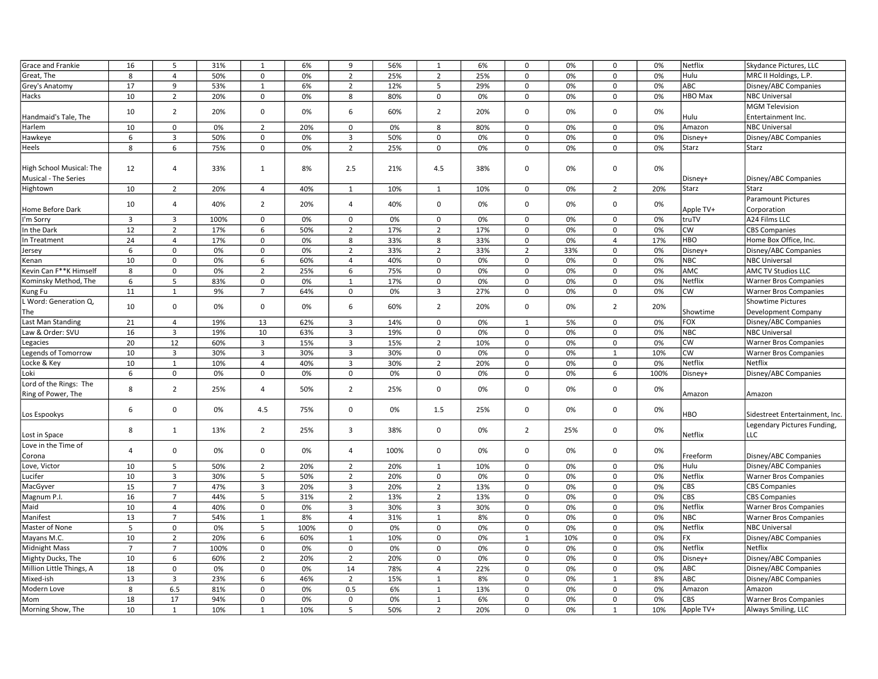| Grace and Frankie                                | 16             | 5                       | 31%  | $\mathbf{1}$   | 6%   | 9              | 56%  | $\mathbf{1}$   | 6%  | $\mathsf 0$    | 0%  | $\mathbf 0$    | 0%   | Netflix        | Skydance Pictures, LLC                          |
|--------------------------------------------------|----------------|-------------------------|------|----------------|------|----------------|------|----------------|-----|----------------|-----|----------------|------|----------------|-------------------------------------------------|
| Great, The                                       | 8              | $\overline{4}$          | 50%  | $\mathsf 0$    | 0%   | $\overline{2}$ | 25%  | $\overline{2}$ | 25% | $\mathsf 0$    | 0%  | $\mathbf 0$    | 0%   | Hulu           | MRC II Holdings, L.P.                           |
| Grey's Anatomy                                   | 17             | 9                       | 53%  | $\mathbf{1}$   | 6%   | $\overline{2}$ | 12%  | 5              | 29% | $\mathbf 0$    | 0%  | $\mathbf 0$    | 0%   | ABC            | Disney/ABC Companies                            |
| Hacks                                            | 10             | $\overline{2}$          | 20%  | 0              | 0%   | 8              | 80%  | 0              | 0%  | 0              | 0%  | $\mathbf 0$    | 0%   | <b>HBO Max</b> | <b>NBC Universal</b>                            |
|                                                  | 10             | $\overline{2}$          | 20%  | $\mathbf 0$    | 0%   | 6              | 60%  | $\overline{2}$ | 20% | 0              | 0%  | 0              | 0%   |                | <b>MGM Television</b>                           |
| Handmaid's Tale, The                             |                |                         |      |                |      |                |      |                |     |                |     |                |      | Hulu           | Entertainment Inc.                              |
| Harlem                                           | 10             | $\mathsf{O}$            | 0%   | $\overline{2}$ | 20%  | $\mathbf 0$    | 0%   | 8              | 80% | $\mathbf 0$    | 0%  | $\mathbf 0$    | 0%   | Amazon         | <b>NBC Universal</b>                            |
| Hawkeye                                          | 6              | 3                       | 50%  | $\mathbf 0$    | 0%   | 3              | 50%  | $\mathbf 0$    | 0%  | 0              | 0%  | $\mathbf 0$    | 0%   | Disney+        | Disney/ABC Companies                            |
| Heels                                            | 8              | 6                       | 75%  | 0              | 0%   | $\overline{2}$ | 25%  | $\mathbf 0$    | 0%  | 0              | 0%  | $\mathbf 0$    | 0%   | Starz          | Starz                                           |
| High School Musical: The<br>Musical - The Series | 12             | 4                       | 33%  | $\mathbf{1}$   | 8%   | 2.5            | 21%  | 4.5            | 38% | $\Omega$       | 0%  | $\Omega$       | 0%   | Disney+        | Disney/ABC Companies                            |
| Hightown                                         | 10             | $\overline{2}$          | 20%  | 4              | 40%  | $\mathbf{1}$   | 10%  | $\mathbf{1}$   | 10% | 0              | 0%  | $\overline{2}$ | 20%  | Starz          | <b>Starz</b>                                    |
|                                                  | 10             | $\overline{4}$          | 40%  | $\overline{2}$ | 20%  | $\overline{4}$ | 40%  | $\mathbf 0$    | 0%  | 0              | 0%  | $\mathbf 0$    | 0%   | Apple TV+      | <b>Paramount Pictures</b>                       |
| Home Before Dark                                 |                |                         |      |                |      |                |      |                |     |                |     |                |      | truTV          | Corporation<br>A24 Films LLC                    |
| I'm Sorry                                        | 3              | 3                       | 100% | 0              | 0%   | $\mathbf 0$    | 0%   | 0              | 0%  | 0              | 0%  | 0              | 0%   | <b>CW</b>      |                                                 |
| In the Dark                                      | 12             | $\overline{2}$          | 17%  | 6              | 50%  | $\overline{2}$ | 17%  | $\overline{2}$ | 17% | 0              | 0%  | $\Omega$       | 0%   |                | <b>CBS Companies</b>                            |
| In Treatment                                     | 24             | $\overline{4}$          | 17%  | 0              | 0%   | 8              | 33%  | 8              | 33% | 0              | 0%  | $\overline{4}$ | 17%  | <b>HBO</b>     | Home Box Office, Inc.                           |
| Jersey                                           | 6              | $\mathbf 0$             | 0%   | $\mathbf 0$    | 0%   | $\overline{2}$ | 33%  | $\overline{2}$ | 33% | $\overline{2}$ | 33% | $\mathbf 0$    | 0%   | Disney+        | Disney/ABC Companies                            |
| Kenan                                            | 10             | $\mathbf 0$             | 0%   | 6              | 60%  | $\overline{4}$ | 40%  | $\mathbf 0$    | 0%  | 0              | 0%  | $\mathbf 0$    | 0%   | <b>NBC</b>     | <b>NBC Universal</b>                            |
| Kevin Can F**K Himself                           | 8              | $\mathbf 0$             | 0%   | $\overline{2}$ | 25%  | 6              | 75%  | $\mathbf 0$    | 0%  | 0              | 0%  | $\mathbf 0$    | 0%   | AMC            | <b>AMC TV Studios LLC</b>                       |
| Kominsky Method, The                             | 6              | 5                       | 83%  | $\mathbf 0$    | 0%   | $\mathbf{1}$   | 17%  | $\mathbf 0$    | 0%  | $\mathbf 0$    | 0%  | $\mathbf 0$    | 0%   | Netflix        | <b>Warner Bros Companies</b>                    |
| Kung Fu                                          | 11             | $\mathbf{1}$            | 9%   | $\overline{7}$ | 64%  | $\mathbf 0$    | 0%   | 3              | 27% | $\Omega$       | 0%  | $\mathbf 0$    | 0%   | <b>CW</b>      | <b>Warner Bros Companies</b>                    |
| L Word: Generation Q,<br>The                     | 10             | $\mathbf 0$             | 0%   | $\mathbf 0$    | 0%   | 6              | 60%  | $\overline{2}$ | 20% | 0              | 0%  | $\overline{2}$ | 20%  | Showtime       | <b>Showtime Pictures</b><br>Development Company |
| Last Man Standing                                | 21             | $\overline{4}$          | 19%  | 13             | 62%  | $\overline{3}$ | 14%  | $\mathbf 0$    | 0%  | $\overline{1}$ | 5%  | $\mathbf 0$    | 0%   | <b>FOX</b>     | Disney/ABC Companies                            |
| Law & Order: SVU                                 | 16             | $\overline{\mathbf{3}}$ | 19%  | 10             | 63%  | $\overline{3}$ | 19%  | $\mathbf 0$    | 0%  | $\mathbf 0$    | 0%  | $\mathbf 0$    | 0%   | <b>NBC</b>     | <b>NBC Universal</b>                            |
| Legacies                                         | 20             | 12                      | 60%  | 3              | 15%  | $\overline{3}$ | 15%  | $\overline{2}$ | 10% | $\mathsf 0$    | 0%  | $\mathsf 0$    | 0%   | <b>CW</b>      | <b>Warner Bros Companies</b>                    |
| Legends of Tomorrow                              | 10             | 3                       | 30%  | 3              | 30%  | 3              | 30%  | $\mathbf 0$    | 0%  | 0              | 0%  | $\mathbf{1}$   | 10%  | <b>CW</b>      | <b>Warner Bros Companies</b>                    |
| Locke & Key                                      | 10             | $\mathbf{1}$            | 10%  | 4              | 40%  | 3              | 30%  | $\overline{2}$ | 20% | $\mathbf 0$    | 0%  | $\mathbf 0$    | 0%   | <b>Netflix</b> | <b>Netflix</b>                                  |
| Loki                                             | 6              | $\mathbf 0$             | 0%   | $\mathsf 0$    | 0%   | $\mathbf 0$    | 0%   | $\mathbf 0$    | 0%  | 0              | 0%  | 6              | 100% | Disney+        | Disney/ABC Companies                            |
| Lord of the Rings: The                           |                |                         |      |                |      |                |      |                |     |                |     |                |      |                |                                                 |
| Ring of Power, The                               | 8              | $\overline{2}$          | 25%  | $\overline{4}$ | 50%  | $\overline{2}$ | 25%  | $\mathbf 0$    | 0%  | 0              | 0%  | $\Omega$       | 0%   | Amazon         | Amazon                                          |
| Los Espookys                                     | 6              | $\mathbf 0$             | 0%   | 4.5            | 75%  | 0              | 0%   | 1.5            | 25% | 0              | 0%  | 0              | 0%   | <b>HBO</b>     | Sidestreet Entertainment, Inc.                  |
| Lost in Space                                    | 8              | $\mathbf{1}$            | 13%  | $\overline{2}$ | 25%  | 3              | 38%  | $\mathbf 0$    | 0%  | $\overline{2}$ | 25% | 0              | 0%   | Netflix        | Legendary Pictures Funding,<br>LLC              |
| Love in the Time of<br>Corona                    | $\overline{4}$ | $\mathbf 0$             | 0%   | $\mathbf 0$    | 0%   | $\overline{4}$ | 100% | $\mathbf 0$    | 0%  | 0              | 0%  | $\mathbf 0$    | 0%   | Freeform       | Disney/ABC Companies                            |
| Love, Victor                                     | 10             | 5                       | 50%  | $\overline{2}$ | 20%  | $\overline{2}$ | 20%  | 1              | 10% | $\mathbf 0$    | 0%  | $\mathbf 0$    | 0%   | Hulu           | Disney/ABC Companies                            |
| Lucifer                                          | 10             | 3                       | 30%  | 5              | 50%  | $\overline{2}$ | 20%  | $\mathbf 0$    | 0%  | $\mathbf 0$    | 0%  | $\mathbf 0$    | 0%   | Netflix        | <b>Warner Bros Companies</b>                    |
| MacGyver                                         | 15             | $\overline{7}$          | 47%  | 3              | 20%  | $\overline{3}$ | 20%  | $\overline{2}$ | 13% | 0              | 0%  | $\mathbf 0$    | 0%   | CBS            | <b>CBS Companies</b>                            |
| Magnum P.I.                                      | 16             | $\overline{7}$          | 44%  | 5              | 31%  | $\overline{2}$ | 13%  | $\overline{2}$ | 13% | $\mathsf 0$    | 0%  | $\mathsf 0$    | 0%   | CBS            | <b>CBS Companies</b>                            |
| Maid                                             | 10             | $\overline{4}$          | 40%  | $\mathbf 0$    | 0%   | $\overline{3}$ | 30%  | 3              | 30% | $\mathbf 0$    | 0%  | $\mathbf 0$    | 0%   | Netflix        | <b>Warner Bros Companies</b>                    |
| Manifest                                         | 13             | $\overline{7}$          | 54%  | $\mathbf{1}$   | 8%   | $\overline{4}$ | 31%  | $\mathbf{1}$   | 8%  | 0              | 0%  | $\mathsf 0$    | 0%   | <b>NBC</b>     | <b>Warner Bros Companies</b>                    |
| Master of None                                   | 5              | $\mathbf 0$             | 0%   | 5              | 100% | $\Omega$       | 0%   | $\Omega$       | 0%  | 0              | 0%  | $\Omega$       | 0%   | Netflix        | <b>NBC Universal</b>                            |
| Mayans M.C.                                      | 10             | $\overline{2}$          | 20%  | 6              | 60%  | $\mathbf{1}$   | 10%  | $\mathbf 0$    | 0%  | $\overline{1}$ | 10% | $\mathbf 0$    | 0%   | <b>FX</b>      | Disney/ABC Companies                            |
| <b>Midnight Mass</b>                             | $\overline{7}$ | $\overline{7}$          | 100% | $\mathsf 0$    | 0%   | $\mathbf 0$    | 0%   | $\mathbf 0$    | 0%  | $\mathsf 0$    | 0%  | $\mathbf 0$    | 0%   | Netflix        | Netflix                                         |
| Mighty Ducks, The                                | 10             | 6                       | 60%  | $\overline{2}$ | 20%  | $\overline{2}$ | 20%  | $\mathbf 0$    | 0%  | $\mathbf 0$    | 0%  | $\mathbf 0$    | 0%   | Disney+        | Disney/ABC Companies                            |
| Million Little Things, A                         | 18             | $\mathbf 0$             | 0%   | $\mathbf 0$    | 0%   | 14             | 78%  | $\overline{4}$ | 22% | $\Omega$       | 0%  | $\Omega$       | 0%   | ABC            | Disney/ABC Companies                            |
| Mixed-ish                                        | 13             | $\overline{3}$          | 23%  | 6              | 46%  | $\overline{2}$ | 15%  | $\mathbf{1}$   | 8%  | $\mathsf 0$    | 0%  | $\mathbf{1}$   | 8%   | ABC            | Disney/ABC Companies                            |
| Modern Love                                      | 8              | 6.5                     | 81%  | $\mathsf 0$    | 0%   | 0.5            | 6%   | $\mathbf{1}$   | 13% | $\mathbf 0$    | 0%  | $\mathbf 0$    | 0%   | Amazon         | Amazon                                          |
| Mom                                              | 18             | 17                      | 94%  | 0              | 0%   | 0              | 0%   | $\mathbf{1}$   | 6%  | 0              | 0%  | $\mathsf 0$    | 0%   | CBS            | <b>Warner Bros Companies</b>                    |
| Morning Show, The                                | 10             | $\mathbf{1}$            | 10%  | $\mathbf{1}$   | 10%  | 5              | 50%  | $\overline{2}$ | 20% | 0              | 0%  | $\mathbf{1}$   | 10%  | Apple TV+      | Always Smiling, LLC                             |
|                                                  |                |                         |      |                |      |                |      |                |     |                |     |                |      |                |                                                 |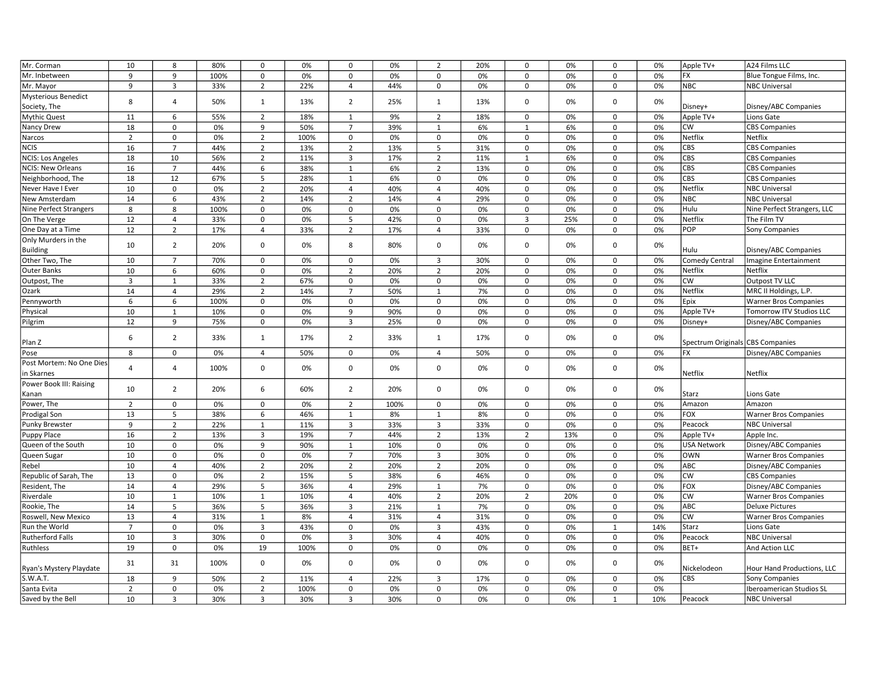| Mr. Corman                    | 10             | 8              | 80%  | 0              | 0%   | 0              | 0%   | $\overline{2}$ | 20% | $\mathsf 0$         | 0%  | $\mathsf 0$    | 0%  | Apple TV+                        | A24 Films LLC                |
|-------------------------------|----------------|----------------|------|----------------|------|----------------|------|----------------|-----|---------------------|-----|----------------|-----|----------------------------------|------------------------------|
| Mr. Inbetween                 | 9              | 9              | 100% | 0              | 0%   | 0              | 0%   | $\mathbf 0$    | 0%  | $\mathbf 0$         | 0%  | $\mathbf 0$    | 0%  | <b>FX</b>                        | Blue Tongue Films, Inc.      |
| Mr. Mayor                     | 9              | 3              | 33%  | $\overline{2}$ | 22%  | $\overline{4}$ | 44%  | $\mathbf 0$    | 0%  | $\mathbf 0$         | 0%  | $\mathbf 0$    | 0%  | <b>NBC</b>                       | <b>NBC Universal</b>         |
| <b>Mysterious Benedict</b>    |                |                |      |                |      |                |      |                |     |                     |     |                |     |                                  |                              |
| Society, The                  | 8              | $\overline{4}$ | 50%  | $\mathbf{1}$   | 13%  | $\overline{2}$ | 25%  | $\mathbf{1}$   | 13% | $\mathbf 0$         | 0%  | $\Omega$       | 0%  | Disney+                          | Disney/ABC Companies         |
| <b>Mythic Quest</b>           | 11             | 6              | 55%  | $\overline{2}$ | 18%  | $\mathbf{1}$   | 9%   | $\overline{2}$ | 18% | $\mathbf 0$         | 0%  | 0              | 0%  | Apple TV+                        | Lions Gate                   |
| Nancy Drew                    | 18             | $\mathbf{0}$   | 0%   | 9              | 50%  | $\overline{7}$ | 39%  | $\mathbf{1}$   | 6%  | $\overline{1}$      | 6%  | $\mathbf{0}$   | 0%  | <b>CW</b>                        | <b>CBS Companies</b>         |
| Narcos                        | $\overline{2}$ | $\mathsf{O}$   | 0%   | $\overline{2}$ | 100% | $\mathsf 0$    | 0%   | $\mathbf 0$    | 0%  | $\mathbf 0$         | 0%  | $\mathsf 0$    | 0%  | Netflix                          | Netflix                      |
| <b>NCIS</b>                   | 16             | $\overline{7}$ | 44%  | $\overline{2}$ | 13%  | $\overline{2}$ | 13%  | 5              | 31% | $\mathsf 0$         | 0%  | $\mathbf 0$    | 0%  | CBS                              | <b>CBS Companies</b>         |
| <b>NCIS: Los Angeles</b>      | 18             | 10             | 56%  | $\overline{2}$ | 11%  | 3              | 17%  | $\overline{2}$ | 11% | $\mathbf{1}$        | 6%  | 0              | 0%  | CBS                              | <b>CBS Companies</b>         |
| <b>NCIS: New Orleans</b>      | 16             | $\overline{7}$ | 44%  | 6              | 38%  | $\mathbf{1}$   | 6%   | $\overline{2}$ | 13% | $\mathbf 0$         | 0%  | 0              | 0%  | CBS                              | <b>CBS Companies</b>         |
| Neighborhood, The             | 18             | 12             | 67%  | 5              | 28%  | $\mathbf{1}$   | 6%   | $\mathbf 0$    | 0%  | $\mathbf 0$         | 0%  | $\mathbf 0$    | 0%  | CBS                              | <b>CBS Companies</b>         |
| Never Have I Ever             | 10             | $\mathbf 0$    | 0%   | $\overline{2}$ | 20%  | $\overline{4}$ | 40%  | $\overline{4}$ | 40% | $\mathbf 0$         | 0%  | $\mathbf 0$    | 0%  | Netflix                          | <b>NBC Universal</b>         |
| New Amsterdam                 | 14             | 6              | 43%  | $\overline{2}$ | 14%  | $\overline{2}$ | 14%  | $\overline{4}$ | 29% | $\mathsf 0$         | 0%  | $\mathsf 0$    | 0%  | <b>NBC</b>                       | <b>NBC Universal</b>         |
| <b>Nine Perfect Strangers</b> | 8              | 8              | 100% | 0              | 0%   | 0              | 0%   | $\Omega$       | 0%  | $\mathbf 0$         | 0%  | $\mathbf 0$    | 0%  | Hulu                             | Nine Perfect Strangers, LLC  |
| On The Verge                  | 12             | $\overline{4}$ | 33%  | $\mathbf 0$    | 0%   | 5              | 42%  | $\Omega$       | 0%  | 3                   | 25% | 0              | 0%  | Netflix                          | The Film TV                  |
| One Day at a Time             | 12             | $\overline{2}$ | 17%  | $\overline{4}$ | 33%  | $\overline{2}$ | 17%  | $\overline{4}$ | 33% | $\mathbf 0$         | 0%  | $\mathbf 0$    | 0%  | POP                              | Sony Companies               |
| Only Murders in the           | 10             | $\overline{2}$ | 20%  | $\mathbf 0$    | 0%   | 8              | 80%  | $\mathbf 0$    | 0%  | $\Omega$            | 0%  | $\Omega$       | 0%  |                                  |                              |
| <b>Building</b>               |                |                |      |                |      |                |      |                |     |                     |     |                |     | Hulu                             | Disney/ABC Companies         |
| Other Two, The                | 10             | $\overline{7}$ | 70%  | 0              | 0%   | $\mathsf 0$    | 0%   | 3              | 30% | 0                   | 0%  | 0              | 0%  | <b>Comedy Central</b>            | <b>Imagine Entertainment</b> |
| <b>Outer Banks</b>            | 10             | 6              | 60%  | 0              | 0%   | $\overline{2}$ | 20%  | $\overline{2}$ | 20% | $\mathbf 0$         | 0%  | $\Omega$       | 0%  | Netflix                          | Netflix                      |
| Outpost, The                  | 3              | $\mathbf{1}$   | 33%  | $\overline{2}$ | 67%  | $\mathbf 0$    | 0%   | $\Omega$       | 0%  | $\mathbf 0$         | 0%  | $\Omega$       | 0%  | <b>CW</b>                        | Outpost TV LLC               |
| Ozark                         | 14             | $\overline{4}$ | 29%  | $\overline{2}$ | 14%  | $\overline{7}$ | 50%  | $\mathbf{1}$   | 7%  | $\mathbf 0$         | 0%  | $\mathbf 0$    | 0%  | Netflix                          | MRC II Holdings, L.P.        |
| Pennyworth                    | 6              | 6              | 100% | $\mathbf 0$    | 0%   | $\mathbf 0$    | 0%   | $\mathbf 0$    | 0%  | $\mathbf 0$         | 0%  | $\mathbf 0$    | 0%  | Epix                             | <b>Warner Bros Companies</b> |
| Physical                      | 10             | $\mathbf{1}$   | 10%  | $\mathbf 0$    | 0%   | 9              | 90%  | $\mathbf 0$    | 0%  | $\mathbf 0$         | 0%  | $\mathbf 0$    | 0%  | Apple TV+                        | Tomorrow ITV Studios LLC     |
| Pilgrim                       | 12             | 9              | 75%  | $\mathbf 0$    | 0%   | 3              | 25%  | $\Omega$       | 0%  | $\mathbf 0$         | 0%  | 0              | 0%  | Disney+                          | Disney/ABC Companies         |
|                               | 6              | $\overline{2}$ |      |                | 17%  | $\overline{2}$ | 33%  |                | 17% | $\mathbf 0$         | 0%  | 0              | 0%  |                                  |                              |
| Plan Z                        |                |                | 33%  | $\mathbf{1}$   |      |                |      | $\mathbf{1}$   |     |                     |     |                |     | Spectrum Originals CBS Companies |                              |
| Pose                          | 8              | $\mathbf 0$    | 0%   | $\overline{4}$ | 50%  | $\mathbf 0$    | 0%   | $\overline{4}$ | 50% | $\mathbf 0$         | 0%  | 0              | 0%  | <b>FX</b>                        | Disney/ABC Companies         |
| Post Mortem: No One Dies      | $\overline{4}$ | $\overline{4}$ | 100% | $\mathbf 0$    | 0%   | $\mathbf 0$    | 0%   | $\Omega$       | 0%  | $\mathbf 0$         | 0%  | 0              | 0%  |                                  |                              |
| in Skarnes                    |                |                |      |                |      |                |      |                |     |                     |     |                |     | Netflix                          | Netflix                      |
| Power Book III: Raising       | 10             | $\overline{2}$ | 20%  | 6              | 60%  | $\overline{2}$ | 20%  | $\Omega$       | 0%  | $\Omega$            | 0%  | $\Omega$       | 0%  |                                  |                              |
| Kanan                         |                |                |      |                |      |                |      |                |     |                     |     |                |     | Starz                            | Lions Gate                   |
| Power, The                    | $\overline{2}$ | $\mathbf 0$    | 0%   | $\mathbf 0$    | 0%   | $\overline{2}$ | 100% | $\mathsf 0$    | 0%  | $\mathbf 0$         | 0%  | $\mathbf 0$    | 0%  | Amazon                           | Amazon                       |
| Prodigal Son                  | 13             | 5              | 38%  | 6              | 46%  | $\mathbf{1}$   | 8%   | $\mathbf{1}$   | 8%  | $\mathbf 0$         | 0%  | $\mathbf 0$    | 0%  | <b>FOX</b>                       | <b>Warner Bros Companies</b> |
| Punky Brewster                | 9              | $\overline{2}$ | 22%  | 1              | 11%  | 3              | 33%  | 3              | 33% | 0                   | 0%  | $\mathbf 0$    | 0%  | Peacock                          | <b>NBC Universal</b>         |
| Puppy Place                   | 16             | $\overline{2}$ | 13%  | 3              | 19%  | $\overline{7}$ | 44%  | $\overline{2}$ | 13% | $\overline{2}$      | 13% | 0              | 0%  | Apple TV+                        | Apple Inc.                   |
| Queen of the South            | 10             | $\mathbf 0$    | 0%   | 9              | 90%  | $\mathbf{1}$   | 10%  | $\Omega$       | 0%  | $\Omega$            | 0%  | $\mathbf 0$    | 0%  | <b>USA Network</b>               | Disney/ABC Companies         |
| Queen Sugar                   | 10             | $\pmb{0}$      | 0%   | 0              | 0%   | $\overline{7}$ | 70%  | $\overline{3}$ | 30% | $\mathsf 0$         | 0%  | 0              | 0%  | <b>OWN</b>                       | <b>Warner Bros Companies</b> |
| Rebel                         | 10             | $\overline{4}$ | 40%  | $\overline{2}$ | 20%  | $\overline{2}$ | 20%  | $\overline{2}$ | 20% | $\mathsf 0$         | 0%  | $\mathbf 0$    | 0%  | ABC                              | Disney/ABC Companies         |
| Republic of Sarah, The        | 13             | $\mathbf 0$    | 0%   | $\overline{2}$ | 15%  | 5              | 38%  | 6              | 46% | $\mathbf 0$         | 0%  | $\mathbf 0$    | 0%  | <b>CW</b>                        | <b>CBS Companies</b>         |
| Resident, The                 | 14             | $\overline{4}$ | 29%  | 5              | 36%  | $\overline{4}$ | 29%  | $\mathbf{1}$   | 7%  | 0                   | 0%  | 0              | 0%  | <b>FOX</b>                       | Disney/ABC Companies         |
| Riverdale                     | 10             | $\mathbf{1}$   | 10%  | $\mathbf{1}$   | 10%  | 4              | 40%  | $\overline{2}$ | 20% | $\overline{2}$      | 20% | $\Omega$       | 0%  | <b>CW</b>                        | <b>Warner Bros Companies</b> |
| Rookie, The                   | 14             | 5              | 36%  | 5              | 36%  | $\overline{3}$ | 21%  | $\mathbf{1}$   | 7%  | $\Omega$            | 0%  | $\Omega$       | 0%  | ABC                              | <b>Deluxe Pictures</b>       |
| Roswell, New Mexico           | 13             | $\overline{4}$ | 31%  | $\mathbf{1}$   | 8%   | $\overline{4}$ | 31%  | $\overline{4}$ | 31% | $\mathbf 0$         | 0%  | $\mathbf 0$    | 0%  | CW                               | <b>Warner Bros Companies</b> |
| Run the World                 | $\overline{7}$ | $\mathsf 0$    | 0%   | 3              | 43%  | $\mathsf 0$    | 0%   | 3              | 43% | $\mathbf 0$         | 0%  | $\overline{1}$ | 14% | Starz                            | Lions Gate                   |
| <b>Rutherford Falls</b>       | 10             | $\overline{3}$ | 30%  | $\mathsf 0$    | 0%   | $\overline{3}$ | 30%  | $\overline{4}$ | 40% | $\mathsf{O}\xspace$ | 0%  | $\mathbf 0$    | 0%  | Peacock                          | <b>NBC Universal</b>         |
| Ruthless                      | 19             | $\mathsf 0$    | 0%   | 19             | 100% | 0              | 0%   | $\Omega$       | 0%  | $\mathbf 0$         | 0%  | $\Omega$       | 0%  | BET+                             | And Action LLC               |
|                               | 31             | 31             | 100% | $\mathbf 0$    | 0%   | $\mathbf 0$    | 0%   | $\Omega$       | 0%  | $\mathbf 0$         | 0%  | 0              | 0%  |                                  |                              |
| Ryan's Mystery Playdate       |                |                |      |                |      |                |      |                |     |                     |     |                |     | Nickelodeon                      | Hour Hand Productions, LLC   |
| S.W.A.T.                      | 18             | 9              | 50%  | $\overline{2}$ | 11%  | $\overline{4}$ | 22%  | $\overline{3}$ | 17% | $\mathbf 0$         | 0%  | $\mathbf{0}$   | 0%  | <b>CBS</b>                       | Sony Companies               |
| Santa Evita                   | $\overline{2}$ | $\mathsf{O}$   | 0%   | $\overline{2}$ | 100% | $\mathsf{o}\,$ | 0%   | $\mathbf 0$    | 0%  | $\mathbf 0$         | 0%  | $\mathsf 0$    | 0%  |                                  | Iberoamerican Studios SL     |
| Saved by the Bell             | 10             | 3              | 30%  | 3              | 30%  | 3              | 30%  | $\mathbf 0$    | 0%  | $\mathbf 0$         | 0%  | $\mathbf{1}$   | 10% | Peacock                          | <b>NBC Universal</b>         |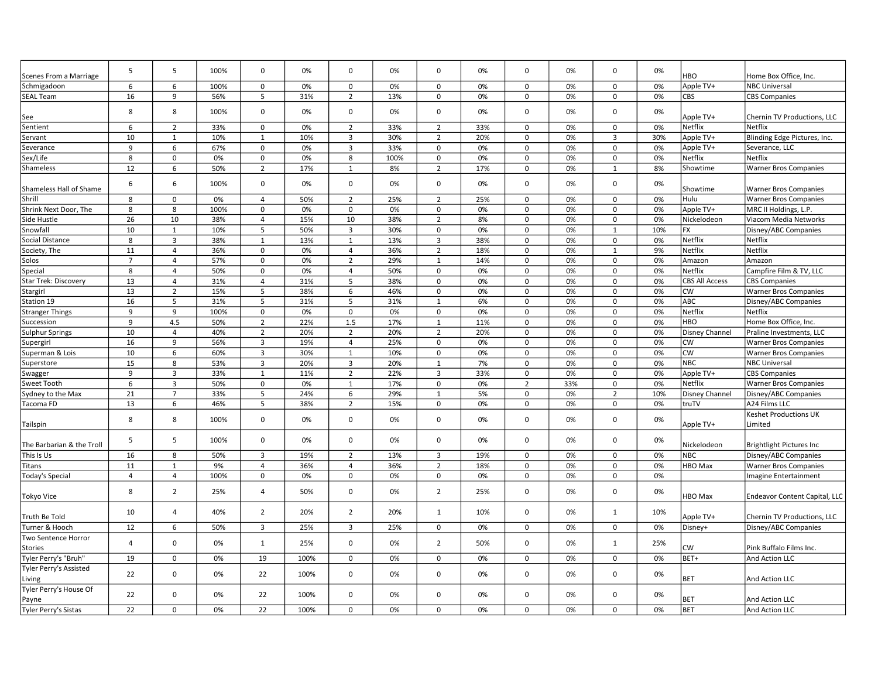|                                       | 5              | 5              | 100% | $\mathbf 0$    | 0%   | $\mathbf 0$    | 0%   | $\mathbf 0$    | 0%  | $\mathbf 0$    | 0%  | $\mathbf 0$    | 0%  |                       |                                  |
|---------------------------------------|----------------|----------------|------|----------------|------|----------------|------|----------------|-----|----------------|-----|----------------|-----|-----------------------|----------------------------------|
| Scenes From a Marriage                |                |                |      |                |      |                |      |                |     |                |     |                |     | <b>HBO</b>            | Home Box Office, Inc.            |
| Schmigadoon                           | 6              | 6              | 100% | $\mathbf 0$    | 0%   | $\mathbf 0$    | 0%   | 0              | 0%  | $\mathbf 0$    | 0%  | $\mathbf 0$    | 0%  | Apple TV+             | <b>NBC Universal</b>             |
| <b>SEAL Team</b>                      | 16             | 9              | 56%  | 5              | 31%  | $\overline{2}$ | 13%  | 0              | 0%  | $\Omega$       | 0%  | 0              | 0%  | CBS                   | <b>CBS Companies</b>             |
| See                                   | 8              | 8              | 100% | 0              | 0%   | $\mathbf 0$    | 0%   | 0              | 0%  | $\mathbf 0$    | 0%  | $\mathbf 0$    | 0%  | Apple TV+             | Chernin TV Productions, LLC      |
| Sentient                              | 6              | $\overline{2}$ | 33%  | $\mathbf 0$    | 0%   | $\overline{2}$ | 33%  | $\overline{2}$ | 33% | $\mathbf 0$    | 0%  | $\mathbf 0$    | 0%  | Netflix               | Netflix                          |
| Servant                               | 10             | 1              | 10%  | $\mathbf{1}$   | 10%  | 3              | 30%  | $\overline{2}$ | 20% | $\Omega$       | 0%  | $\overline{3}$ | 30% | Apple TV+             | Blinding Edge Pictures, Inc.     |
| Severance                             | 9              | 6              | 67%  | $\mathbf 0$    | 0%   | 3              | 33%  | $\mathbf 0$    | 0%  | $\Omega$       | 0%  | $\mathbf 0$    | 0%  | Apple TV+             | Severance, LLC                   |
| Sex/Life                              | 8              | $\mathbf 0$    | 0%   | $\mathbf 0$    | 0%   | 8              | 100% | $\mathbf 0$    | 0%  | 0              | 0%  | $\mathbf 0$    | 0%  | <b>Netflix</b>        | Netflix                          |
| Shameless                             | 12             | 6              | 50%  | $\overline{2}$ | 17%  | 1              | 8%   | $\overline{2}$ | 17% | 0              | 0%  | 1              | 8%  | Showtime              | <b>Warner Bros Companies</b>     |
| Shameless Hall of Shame               | 6              | 6              | 100% | $\Omega$       | 0%   | $\mathbf 0$    | 0%   | 0              | 0%  | $\Omega$       | 0%  | $\mathbf 0$    | 0%  | Showtime              | <b>Warner Bros Companies</b>     |
| Shrill                                | 8              | $\mathsf 0$    | 0%   | $\overline{4}$ | 50%  | $\overline{2}$ | 25%  | $\overline{2}$ | 25% | $\mathbf 0$    | 0%  | $\mathsf 0$    | 0%  | Hulu                  | <b>Warner Bros Companies</b>     |
| Shrink Next Door, The                 | 8              | 8              | 100% | $\mathbf 0$    | 0%   | $\mathsf 0$    | 0%   | $\mathbf 0$    | 0%  | 0              | 0%  | $\mathsf 0$    | 0%  | Apple TV+             | MRC II Holdings, L.P.            |
| Side Hustle                           | 26             | 10             | 38%  | $\overline{4}$ | 15%  | 10             | 38%  | $\overline{2}$ | 8%  | 0              | 0%  | $\mathbf 0$    | 0%  | Nickelodeon           | Viacom Media Networks            |
| Snowfall                              | 10             | $\mathbf{1}$   | 10%  | 5              | 50%  | 3              | 30%  | 0              | 0%  | $\Omega$       | 0%  | 1              | 10% | <b>FX</b>             | Disney/ABC Companies             |
| Social Distance                       | 8              | $\overline{3}$ | 38%  | $\mathbf{1}$   | 13%  | $\mathbf{1}$   | 13%  | 3              | 38% | $\mathbf 0$    | 0%  | $\mathbf 0$    | 0%  | Netflix               | Netflix                          |
| Society, The                          | 11             | $\overline{4}$ | 36%  | $\mathbf 0$    | 0%   | $\overline{4}$ | 36%  | $\overline{2}$ | 18% | 0              | 0%  | $\mathbf{1}$   | 9%  | Netflix               | Netflix                          |
| Solos                                 | $\overline{7}$ | $\overline{4}$ | 57%  | $\mathbf 0$    | 0%   | $\overline{2}$ | 29%  | $\mathbf{1}$   | 14% | 0              | 0%  | $\mathbf 0$    | 0%  | Amazon                | Amazon                           |
| Special                               | 8              | $\overline{4}$ | 50%  | $\Omega$       | 0%   | 4              | 50%  | 0              | 0%  | $\Omega$       | 0%  | $\mathbf 0$    | 0%  | Netflix               | Campfire Film & TV, LLC          |
| <b>Star Trek: Discovery</b>           | 13             | $\overline{4}$ | 31%  | $\overline{4}$ | 31%  | 5              | 38%  | $\mathbf 0$    | 0%  | $\mathbf 0$    | 0%  | $\mathbf 0$    | 0%  | <b>CBS All Access</b> | <b>CBS Companies</b>             |
| Stargirl                              | 13             | $\overline{2}$ | 15%  | 5              | 38%  | 6              | 46%  | $\mathbf 0$    | 0%  | $\Omega$       | 0%  | $\mathbf 0$    | 0%  | <b>CW</b>             | <b>Warner Bros Companies</b>     |
| Station 19                            | 16             | 5              | 31%  | 5              | 31%  | 5              | 31%  | $\mathbf{1}$   | 6%  | 0              | 0%  | $\mathbf 0$    | 0%  | ABC                   | Disney/ABC Companies             |
| <b>Stranger Things</b>                | 9              | 9              | 100% | 0              | 0%   | $\mathbf 0$    | 0%   | 0              | 0%  | $\Omega$       | 0%  | $\mathbf 0$    | 0%  | Netflix               | Netflix                          |
| Succession                            | 9              | 4.5            | 50%  | $\overline{2}$ | 22%  | 1.5            | 17%  | $\mathbf{1}$   | 11% | $\mathbf 0$    | 0%  | $\mathbf 0$    | 0%  | <b>HBO</b>            | Home Box Office, Inc.            |
| Sulphur Springs                       | 10             | $\overline{4}$ | 40%  | $\overline{2}$ | 20%  | $\overline{2}$ | 20%  | $\overline{2}$ | 20% | 0              | 0%  | $\mathbf 0$    | 0%  | <b>Disney Channel</b> | Praline Investments, LLC         |
| Supergirl                             | 16             | 9              | 56%  | 3              | 19%  | 4              | 25%  | 0              | 0%  | 0              | 0%  | $\mathbf 0$    | 0%  | <b>CW</b>             | <b>Warner Bros Companies</b>     |
| Superman & Lois                       | 10             | 6              | 60%  | 3              | 30%  | $\mathbf{1}$   | 10%  | 0              | 0%  | $\Omega$       | 0%  | $\mathbf 0$    | 0%  | <b>CW</b>             | <b>Warner Bros Companies</b>     |
| Superstore                            | 15             | 8              | 53%  | 3              | 20%  | 3              | 20%  | $\mathbf{1}$   | 7%  | 0              | 0%  | $\mathbf 0$    | 0%  | <b>NBC</b>            | <b>NBC Universal</b>             |
| Swagger                               | 9              | $\overline{3}$ | 33%  | $\mathbf{1}$   | 11%  | $\overline{2}$ | 22%  | $\overline{3}$ | 33% | $\mathbf 0$    | 0%  | $\mathbf 0$    | 0%  | Apple TV+             | <b>CBS Companies</b>             |
| Sweet Tooth                           | 6              | $\overline{3}$ | 50%  | $\mathbf 0$    | 0%   | $\mathbf{1}$   | 17%  | $\mathsf 0$    | 0%  | $\overline{2}$ | 33% | $\mathbf 0$    | 0%  | Netflix               | <b>Warner Bros Companies</b>     |
| Sydney to the Max                     | 21             | $\overline{7}$ | 33%  | 5              | 24%  | 6              | 29%  | $\overline{1}$ | 5%  | $\Omega$       | 0%  | $\overline{2}$ | 10% | <b>Disney Channel</b> | Disney/ABC Companies             |
| Tacoma FD                             | 13             | 6              | 46%  | 5              | 38%  | $\overline{2}$ | 15%  | $\mathbf 0$    | 0%  | $\Omega$       | 0%  | $\mathbf 0$    | 0%  | truTV                 | A24 Films LLC                    |
| Tailspin                              | 8              | 8              | 100% | $\mathbf 0$    | 0%   | $\mathbf 0$    | 0%   | 0              | 0%  | 0              | 0%  | $\mathbf 0$    | 0%  | Apple TV+             | Keshet Productions UK<br>Limited |
| The Barbarian & the Troll             | 5              | 5              | 100% | $\Omega$       | 0%   | $\mathbf 0$    | 0%   | $\mathbf 0$    | 0%  | 0              | 0%  | $\mathbf 0$    | 0%  | Nickelodeon           | <b>Brightlight Pictures Inc</b>  |
| This Is Us                            | 16             | 8              | 50%  | 3              | 19%  | $\overline{2}$ | 13%  | $\overline{3}$ | 19% | $\Omega$       | 0%  | $\mathbf 0$    | 0%  | <b>NBC</b>            | Disney/ABC Companies             |
| Titans                                | 11             | $\mathbf{1}$   | 9%   | $\overline{4}$ | 36%  | $\overline{4}$ | 36%  | $\overline{2}$ | 18% | $\mathbf 0$    | 0%  | $\mathsf 0$    | 0%  | <b>HBO</b> Max        | <b>Warner Bros Companies</b>     |
| Today's Special                       | $\overline{4}$ | $\overline{4}$ | 100% | $\mathbf 0$    | 0%   | $\mathbf 0$    | 0%   | 0              | 0%  | 0              | 0%  | $\mathbf 0$    | 0%  |                       | Imagine Entertainment            |
| Tokyo Vice                            | 8              | $\overline{2}$ | 25%  | 4              | 50%  | $\mathbf 0$    | 0%   | $\overline{2}$ | 25% | 0              | 0%  | $\mathbf 0$    | 0%  | HBO Max               | Endeavor Content Capital, LLC    |
| Truth Be Told                         | 10             | 4              | 40%  | $\overline{2}$ | 20%  | $\overline{2}$ | 20%  | $\mathbf{1}$   | 10% | 0              | 0%  | $\mathbf{1}$   | 10% | Apple TV+             | Chernin TV Productions, LLC      |
| Turner & Hooch                        | 12             | 6              | 50%  | 3              | 25%  | 3              | 25%  | 0              | 0%  | 0              | 0%  | $\mathbf 0$    | 0%  | Disney+               | Disney/ABC Companies             |
| Two Sentence Horror<br><b>Stories</b> | $\overline{4}$ | $\Omega$       | 0%   | $\mathbf{1}$   | 25%  | $\Omega$       | 0%   | $\overline{2}$ | 50% | $\Omega$       | 0%  | 1              | 25% | <b>CW</b>             | Pink Buffalo Films Inc.          |
| Tyler Perry's "Bruh"                  | 19             | $\mathbf 0$    | 0%   | 19             | 100% | $\mathbf 0$    | 0%   | $\mathbf 0$    | 0%  | 0              | 0%  | $\mathbf 0$    | 0%  | BET+                  | And Action LLC                   |
| <b>Tyler Perry's Assisted</b>         |                |                |      |                |      |                |      |                |     |                |     |                |     |                       |                                  |
| Living                                | 22             | $\mathbf 0$    | 0%   | 22             | 100% | $\mathbf 0$    | 0%   | $\mathbf 0$    | 0%  | $\Omega$       | 0%  | $\mathbf 0$    | 0%  | <b>BET</b>            | And Action LLC                   |
| Tyler Perry's House Of<br>Payne       | 22             | 0              | 0%   | 22             | 100% | $\Omega$       | 0%   | 0              | 0%  | 0              | 0%  | $\mathbf 0$    | 0%  | <b>BET</b>            | And Action LLC                   |
| Tyler Perry's Sistas                  | 22             | $\Omega$       | 0%   | 22             | 100% | $\Omega$       | 0%   | $\Omega$       | 0%  | $\Omega$       | 0%  | $\mathbf 0$    | 0%  | <b>BET</b>            | And Action LLC                   |